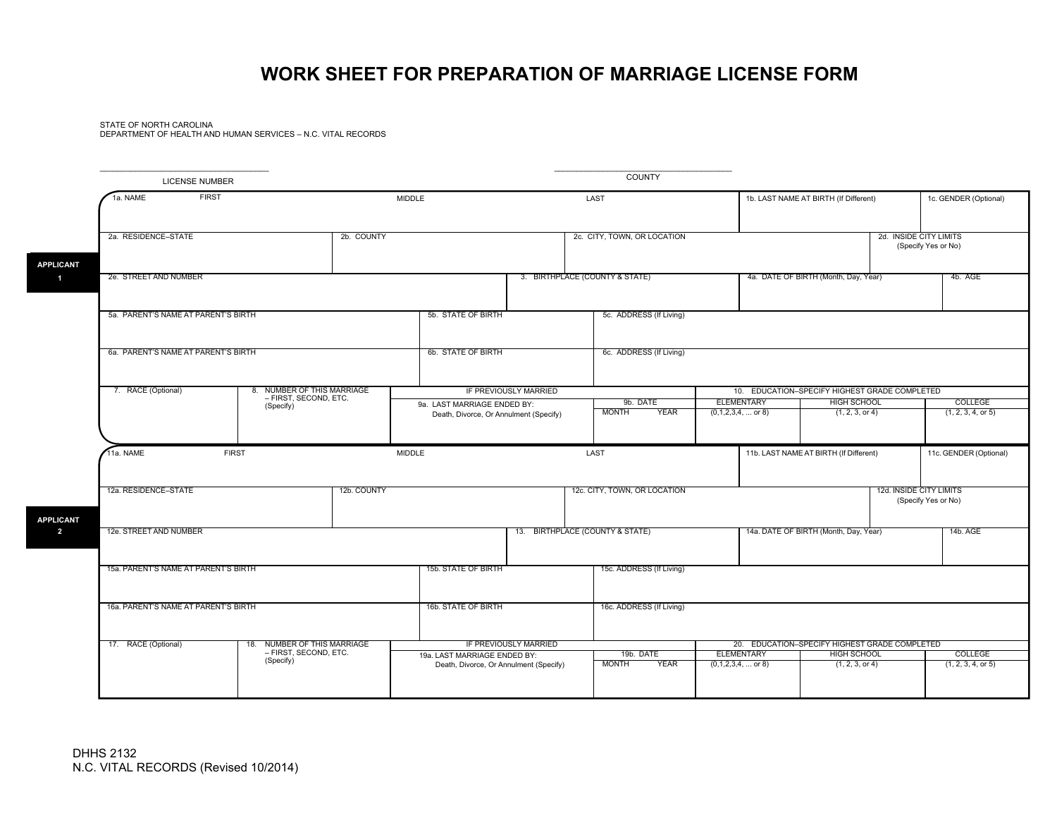## **WORK SHEET FOR PREPARATION OF MARRIAGE LICENSE FORM**

STATE OF NORTH CAROLINADEPARTMENT OF HEALTH AND HUMAN SERVICES – N.C. VITAL RECORDS

| <b>LICENSE NUMBER</b>                      |                                                                      |                                                                        |                                   | <b>COUNTY</b>                            |                                                                                              |                                                                                        |                                                |
|--------------------------------------------|----------------------------------------------------------------------|------------------------------------------------------------------------|-----------------------------------|------------------------------------------|----------------------------------------------------------------------------------------------|----------------------------------------------------------------------------------------|------------------------------------------------|
| <b>FIRST</b><br>1a. NAME                   |                                                                      | MIDDLE                                                                 | LAST                              |                                          | 1b. LAST NAME AT BIRTH (If Different)                                                        |                                                                                        | 1c. GENDER (Optional)                          |
| 2a. RESIDENCE-STATE<br>2b. COUNTY          |                                                                      |                                                                        | 2c. CITY, TOWN, OR LOCATION       |                                          |                                                                                              |                                                                                        | 2d. INSIDE CITY LIMITS<br>(Specify Yes or No)  |
| 2e. STREET AND NUMBER                      |                                                                      |                                                                        | 3. BIRTHPLACE (COUNTY & STATE)    |                                          |                                                                                              | 4a. DATE OF BIRTH (Month, Day, Year)                                                   | 4b. AGE                                        |
| 5a. PARENT'S NAME AT PARENT'S BIRTH        |                                                                      | 5b. STATE OF BIRTH                                                     |                                   | 5c. ADDRESS (If Living)                  |                                                                                              |                                                                                        |                                                |
| 6a. PARENT'S NAME AT PARENT'S BIRTH        |                                                                      | 6b. STATE OF BIRTH                                                     |                                   | 6c. ADDRESS (If Living)                  |                                                                                              |                                                                                        |                                                |
| 7. RACE (Optional)                         | 8. NUMBER OF THIS MARRIAGE<br>- FIRST, SECOND, ETC.                  |                                                                        | IF PREVIOUSLY MARRIED<br>9b. DATE |                                          | 10. EDUCATION-SPECIFY HIGHEST GRADE COMPLETED<br>ELEMENTARY<br>COLLEGE<br><b>HIGH SCHOOL</b> |                                                                                        |                                                |
|                                            | (Specify)                                                            | 9a. LAST MARRIAGE ENDED BY:<br>Death, Divorce, Or Annulment (Specify)  |                                   | <b>MONTH</b><br><b>YEAR</b>              | $(0,1,2,3,4,$ or 8)                                                                          | (1, 2, 3, or 4)                                                                        | (1, 2, 3, 4, or 5)                             |
| 11a. NAME                                  | <b>FIRST</b>                                                         | MIDDLE                                                                 |                                   | LAST                                     |                                                                                              | 11b. LAST NAME AT BIRTH (If Different)                                                 | 11c. GENDER (Optional)                         |
| 12a. RESIDENCE-STATE                       |                                                                      | 12b. COUNTY                                                            |                                   | 12c. CITY, TOWN, OR LOCATION             |                                                                                              |                                                                                        | 12d. INSIDE CITY LIMITS<br>(Specify Yes or No) |
| <b>APPLICANT</b><br>12e. STREET AND NUMBER |                                                                      |                                                                        | 13. BIRTHPLACE (COUNTY & STATE)   |                                          |                                                                                              | 14a. DATE OF BIRTH (Month, Day, Year)                                                  | 14b. AGE                                       |
| 15a. PARENT'S NAME AT PARENT'S BIRTH       |                                                                      | 15b. STATE OF BIRTH                                                    |                                   | 15c. ADDRESS (If Living)                 |                                                                                              |                                                                                        |                                                |
| 16a. PARENT'S NAME AT PARENT'S BIRTH       |                                                                      | 16b. STATE OF BIRTH                                                    |                                   | 16c. ADDRESS (If Living)                 |                                                                                              |                                                                                        |                                                |
| 17. RACE (Optional)                        | NUMBER OF THIS MARRIAGE<br>18.<br>- FIRST, SECOND, ETC.<br>(Specify) | 19a. LAST MARRIAGE ENDED BY:<br>Death, Divorce, Or Annulment (Specify) | IF PREVIOUSLY MARRIED             | 19b. DATE<br><b>MONTH</b><br><b>YEAR</b> | <b>ELEMENTARY</b><br>$(0,1,2,3,4, \dots$ or 8)                                               | 20. EDUCATION-SPECIFY HIGHEST GRADE COMPLETED<br><b>HIGH SCHOOL</b><br>(1, 2, 3, or 4) | COLLEGE<br>(1, 2, 3, 4, or 5)                  |
|                                            |                                                                      |                                                                        |                                   |                                          |                                                                                              |                                                                                        |                                                |